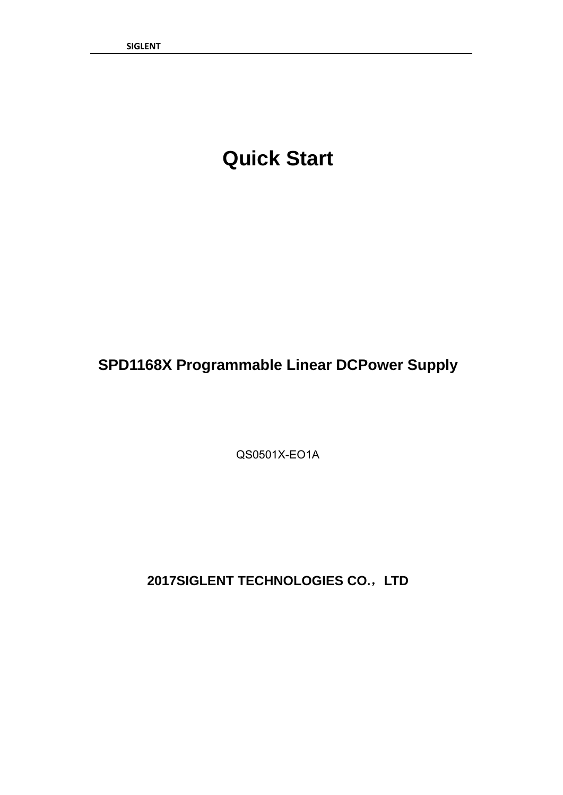## **Quick Start**

### **SPD1168X Programmable Linear DCPower Supply**

QS0501X-EO1A

**2017SIGLENT TECHNOLOGIES CO.**,**LTD**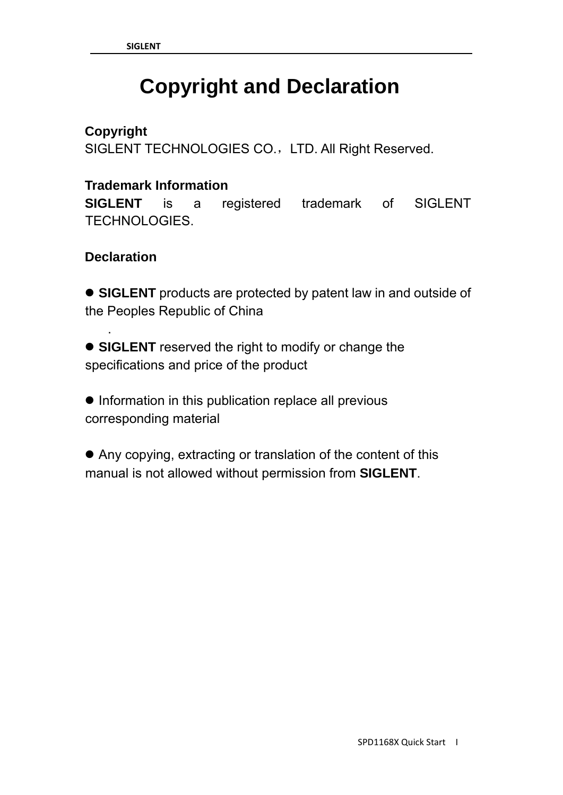# **Copyright and Declaration**

#### **Copyright**

SIGLENT TECHNOLOGIES CO., LTD. All Right Reserved.

#### **Trademark Information**

**SIGLENT** is a registered trademark of SIGLENT TECHNOLOGIES.

#### **Declaration**

.

• **SIGLENT** products are protected by patent law in and outside of the Peoples Republic of China

• SIGLENT reserved the right to modify or change the specifications and price of the product

 $\bullet$  Information in this publication replace all previous corresponding material

• Any copying, extracting or translation of the content of this manual is not allowed without permission from **SIGLENT**.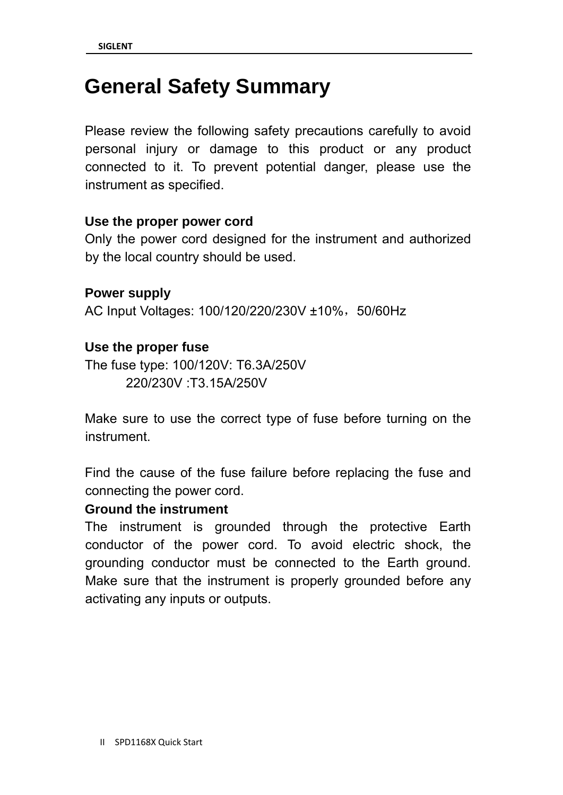### **General Safety Summary**

Please review the following safety precautions carefully to avoid personal injury or damage to this product or any product connected to it. To prevent potential danger, please use the instrument as specified.

#### **Use the proper power cord**

Only the power cord designed for the instrument and authorized by the local country should be used.

**Power supply**  AC Input Voltages: 100/120/220/230V ±10%, 50/60Hz

#### **Use the proper fuse**

The fuse type: 100/120V: T6.3A/250V 220/230V :T3.15A/250V

Make sure to use the correct type of fuse before turning on the instrument.

Find the cause of the fuse failure before replacing the fuse and connecting the power cord.

#### **Ground the instrument**

The instrument is grounded through the protective Earth conductor of the power cord. To avoid electric shock, the grounding conductor must be connected to the Earth ground. Make sure that the instrument is properly grounded before any activating any inputs or outputs.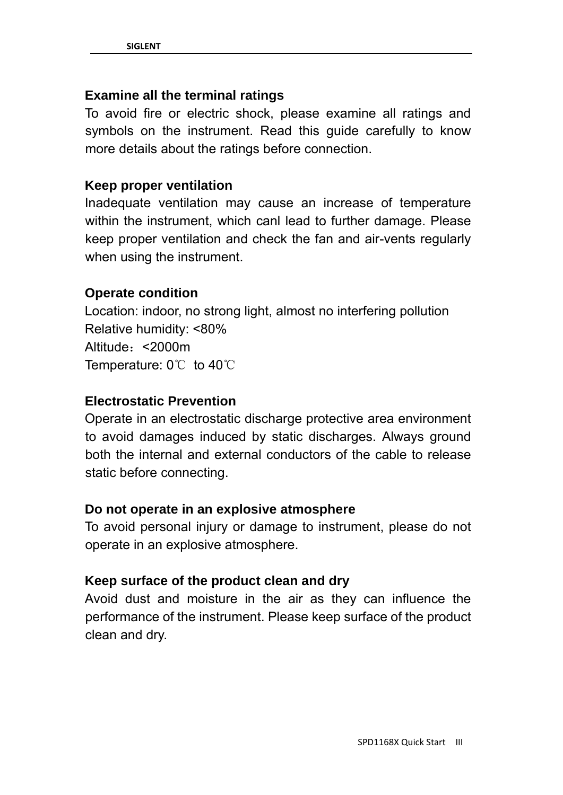#### **Examine all the terminal ratings**

To avoid fire or electric shock, please examine all ratings and symbols on the instrument. Read this guide carefully to know more details about the ratings before connection.

#### **Keep proper ventilation**

Inadequate ventilation may cause an increase of temperature within the instrument, which canl lead to further damage. Please keep proper ventilation and check the fan and air-vents regularly when using the instrument.

#### **Operate condition**

Location: indoor, no strong light, almost no interfering pollution Relative humidity: <80% Altitude:<2000m Temperature: 0℃ to 40℃

#### **Electrostatic Prevention**

Operate in an electrostatic discharge protective area environment to avoid damages induced by static discharges. Always ground both the internal and external conductors of the cable to release static before connecting.

#### **Do not operate in an explosive atmosphere**

To avoid personal injury or damage to instrument, please do not operate in an explosive atmosphere.

#### **Keep surface of the product clean and dry**

Avoid dust and moisture in the air as they can influence the performance of the instrument. Please keep surface of the product clean and dry.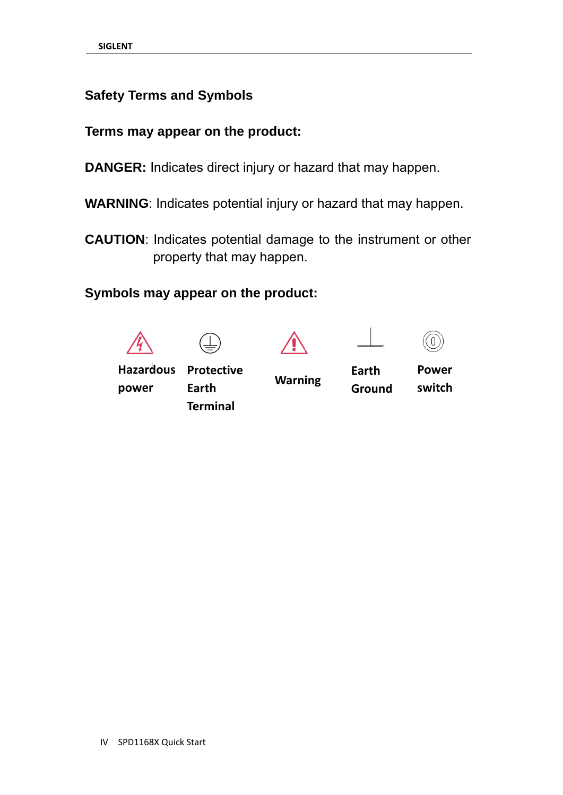#### **Safety Terms and Symbols**

#### Terms may appear on the product:

- DANGER: Indicates direct injury or hazard that may happen.
- WARNING: Indicates potential injury or hazard that may happen.
- **CAUTION:** Indicates potential damage to the instrument or other property that may happen.

#### Symbols may appear on the product:









**Hazardous** power

**Protective** Earth **Terminal** 

**Warning** 

Earth **Ground** 

**Power** switch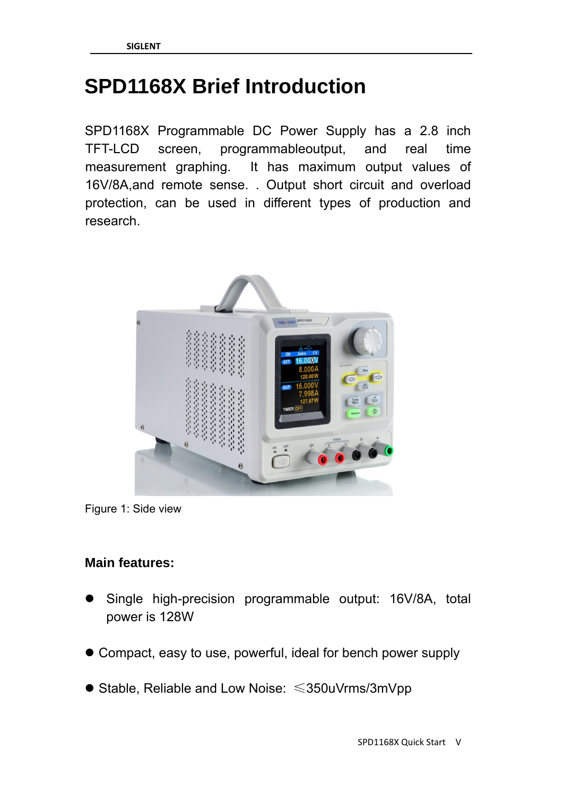### **SPD1168X Brief Introduction**

SPD1168X Programmable DC Power Supply has a 2.8 inch TFT-LCD screen, programmableoutput, and real time measurement graphing. It has maximum output values of 16V/8A,and remote sense. . Output short circuit and overload protection, can be used in different types of production and research.





#### **Main features:**

- Single high-precision programmable output: 16V/8A, total power is 128W
- Compact, easy to use, powerful, ideal for bench power supply
- $\bullet$  Stable, Reliable and Low Noise:  $\leq$ 350uVrms/3mVpp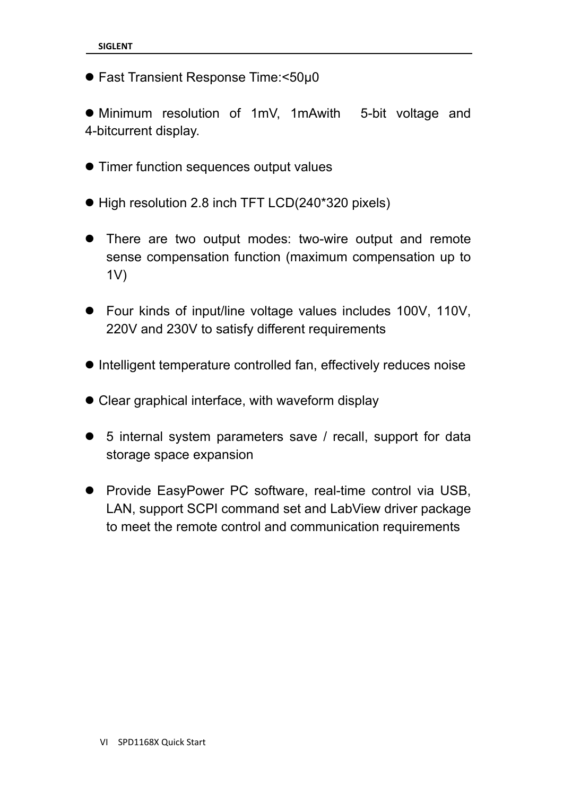$\bullet$  Fast Transient Response Time:<50μ0

• Minimum resolution of 1mV, 1mAwith 5-bit voltage and 4-bitcurrent display.

- $\bullet$  Timer function sequences output values
- High resolution 2.8 inch TFT LCD(240\*320 pixels)
- There are two output modes: two-wire output and remote sense compensation function (maximum compensation up to 1V)
- Four kinds of input/line voltage values includes 100V, 110V, 220V and 230V to satisfy different requirements
- Intelligent temperature controlled fan, effectively reduces noise
- $\bullet$  Clear graphical interface, with waveform display
- 5 internal system parameters save / recall, support for data storage space expansion
- Provide EasyPower PC software, real-time control via USB, LAN, support SCPI command set and LabView driver package to meet the remote control and communication requirements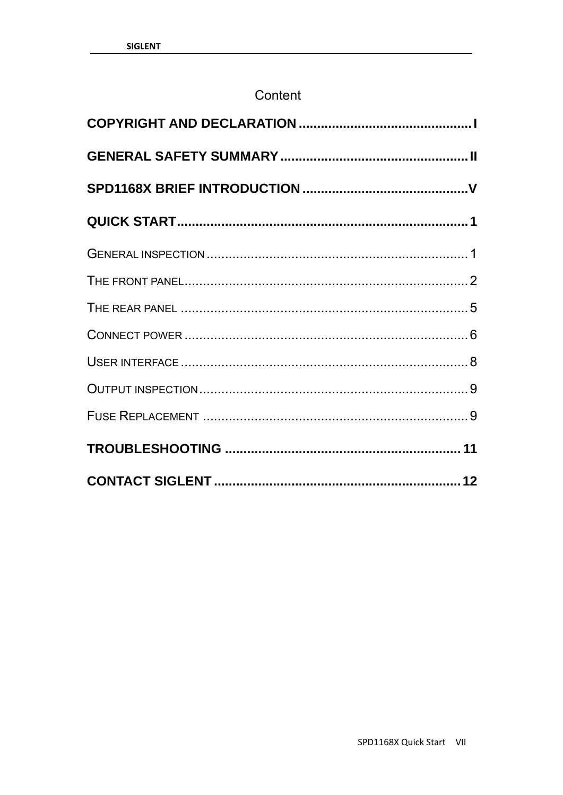#### Content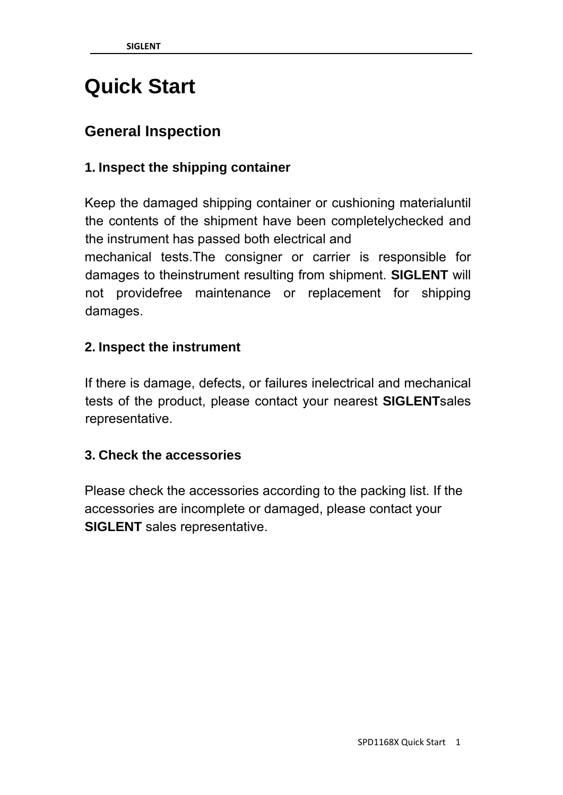## **Quick Start**

### **General Inspection**

#### **1. Inspect the shipping container**

Keep the damaged shipping container or cushioning materialuntil the contents of the shipment have been completelychecked and the instrument has passed both electrical and mechanical tests.The consigner or carrier is responsible for damages to theinstrument resulting from shipment. **SIGLENT** will not providefree maintenance or replacement for shipping damages.

#### **2. Inspect the instrument**

If there is damage, defects, or failures inelectrical and mechanical tests of the product, please contact your nearest **SIGLENT**sales representative.

#### **3. Check the accessories**

Please check the accessories according to the packing list. If the accessories are incomplete or damaged, please contact your **SIGLENT** sales representative.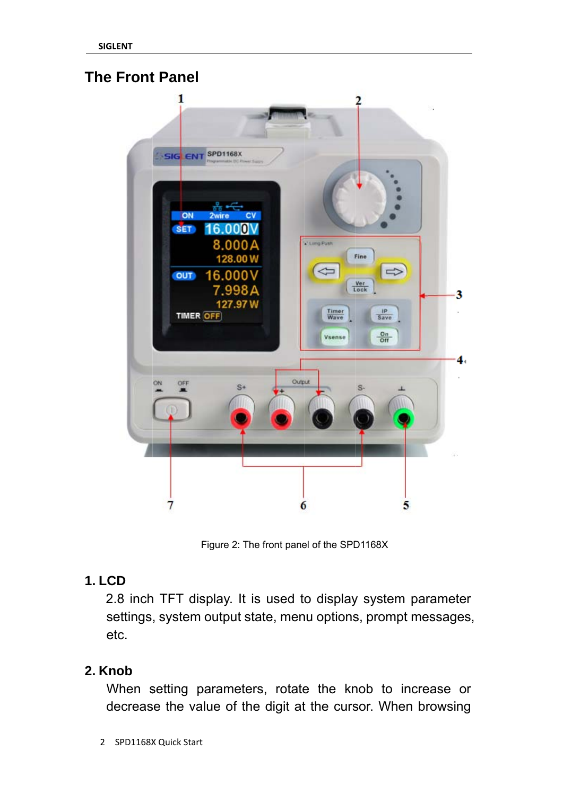#### **The Front Panel**



Figure 2: The front panel of the SPD1168X

#### **1. LCD**

2.8 inch TFT display. It is used to display system parameter settings, system output state, menu options, prompt messages, etc.

#### 2. Knob

When setting parameters, rotate the knob to increase or decrease the value of the digit at the cursor. When browsing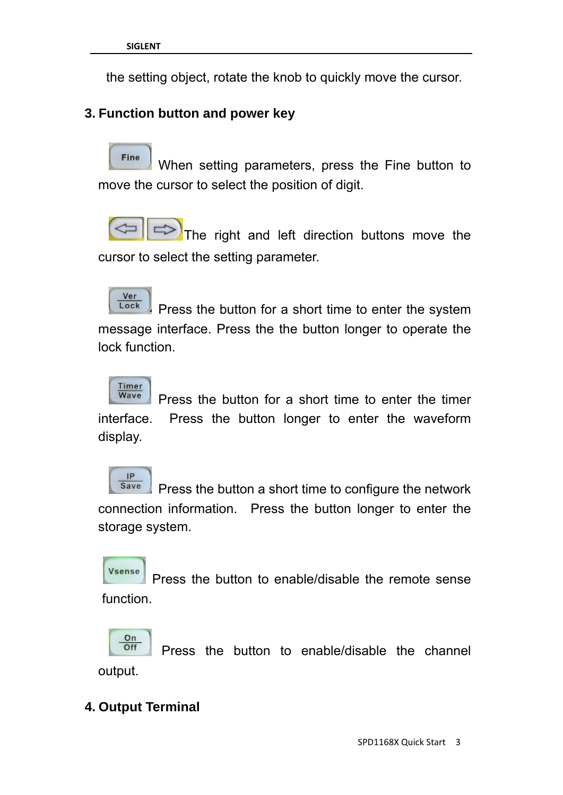the setting object, rotate the knob to quickly move the cursor.

#### **3. Function button and power key**

Fine When setting parameters, press the Fine button to move the cursor to select the position of digit.

The right and left direction buttons move the cursor to select the setting parameter.

Ver Lock Press the button for a short time to enter the system message interface. Press the the button longer to operate the lock function.



 Press the button for a short time to enter the timer interface. Press the button longer to enter the waveform display.



 Press the button a short time to configure the network connection information. Press the button longer to enter the storage system.

Vsense Press the button to enable/disable the remote sense function.

On Press the button to enable/disable the channel Off output.

#### **4. Output Terminal**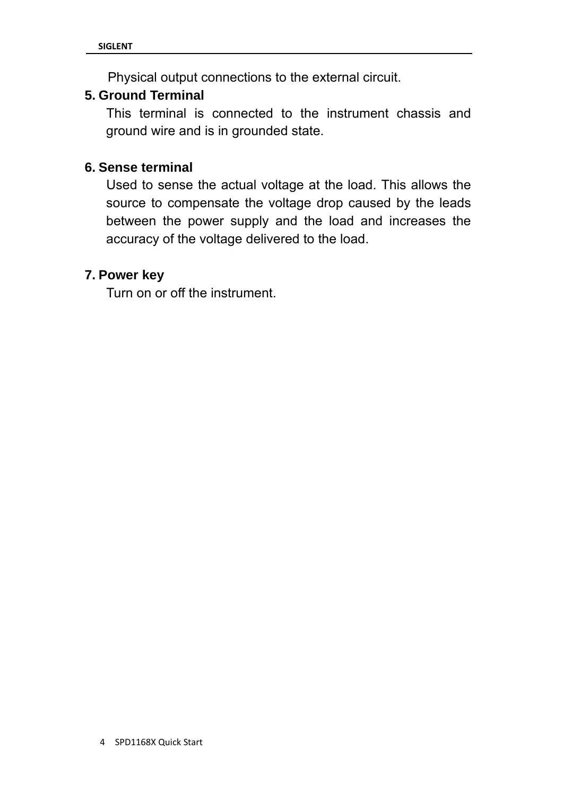Physical output connections to the external circuit.

#### **5. Ground Terminal**

This terminal is connected to the instrument chassis and ground wire and is in grounded state.

#### **6. Sense terminal**

Used to sense the actual voltage at the load. This allows the source to compensate the voltage drop caused by the leads between the power supply and the load and increases the accuracy of the voltage delivered to the load.

#### **7. Power key**

Turn on or off the instrument.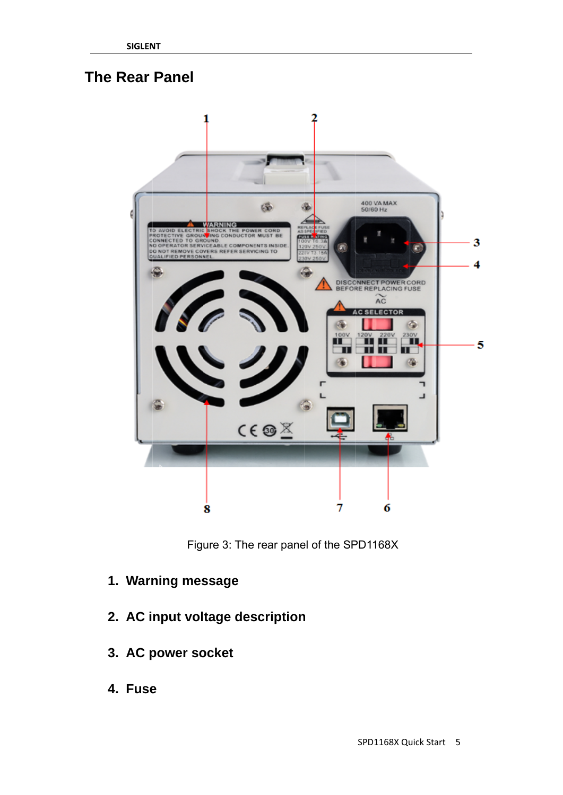### **The Rear Panel**



Figure 3: The rear panel of the SPD1168X

- 1. Warning message
- 2. AC input voltage description
- 3. AC power socket
- 4. Fuse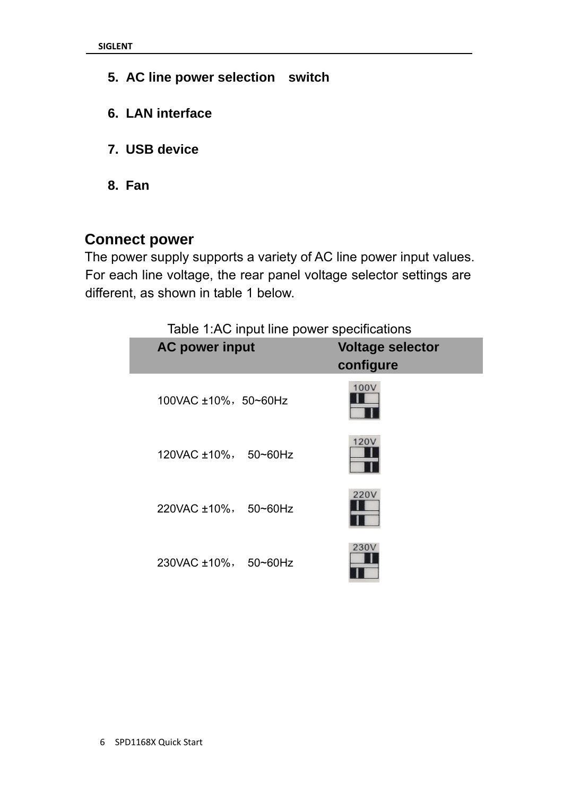- **5. AC line power selection switch**
- **6. LAN interface**
- **7. USB device**
- **8. Fan**

#### **Connect power**

The power supply supports a variety of AC line power input values. For each line voltage, the rear panel voltage selector settings are different, as shown in table 1 below.

Table 1:AC input line power specifications

| <b>AC power input</b>        | <b>Voltage selector</b><br>configure |
|------------------------------|--------------------------------------|
| $100$ VAC $\pm$ 10%, 50~60Hz | 100V                                 |
| 120VAC ±10%, 50~60Hz         | 120V                                 |
| 220VAC ±10%, 50~60Hz         | 220V                                 |
| 230VAC ±10%, 50~60Hz         | 230V                                 |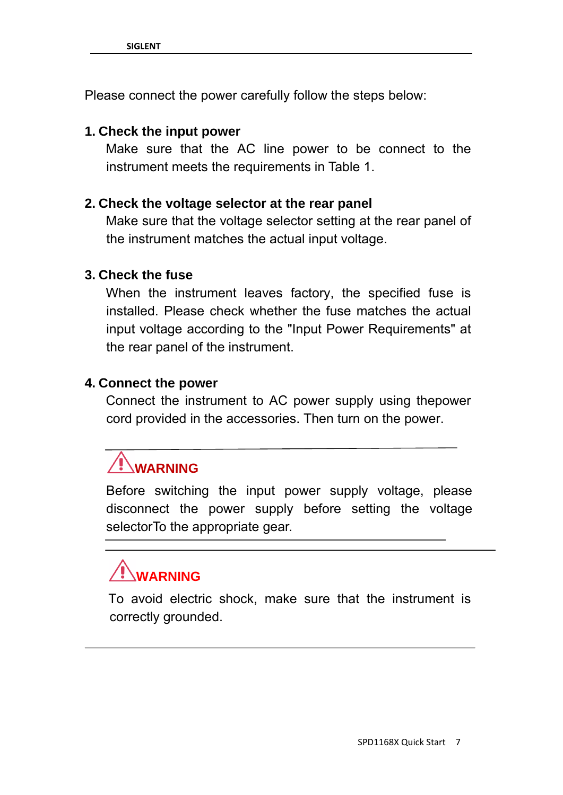Please connect the power carefully follow the steps below:

#### **1. Check the input power**

Make sure that the AC line power to be connect to the instrument meets the requirements in Table 1.

#### **2. Check the voltage selector at the rear panel**

Make sure that the voltage selector setting at the rear panel of the instrument matches the actual input voltage.

#### **3. Check the fuse**

When the instrument leaves factory, the specified fuse is installed. Please check whether the fuse matches the actual input voltage according to the "Input Power Requirements" at the rear panel of the instrument.

#### **4. Connect the power**

Connect the instrument to AC power supply using thepower cord provided in the accessories. Then turn on the power.

# **WARNING**

Before switching the input power supply voltage, please disconnect the power supply before setting the voltage selectorTo the appropriate gear.

# **WARNING**

To avoid electric shock, make sure that the instrument is correctly grounded.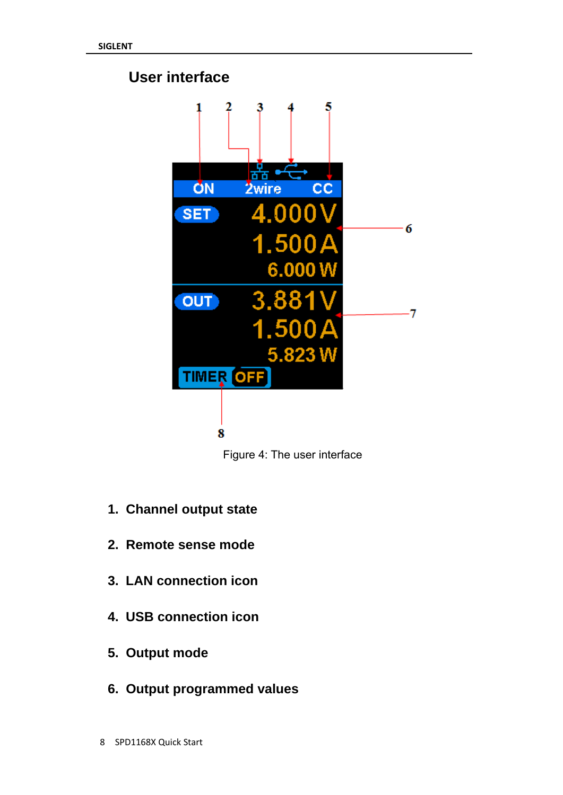### **User interface**



Figure 4: The user interface

- **1. Channel output state**
- **2. Remote sense mode**
- **3. LAN connection icon**
- **4. USB connection icon**
- **5. Output mode**
- **6. Output programmed values**
- 8 SPD1168X Quick Start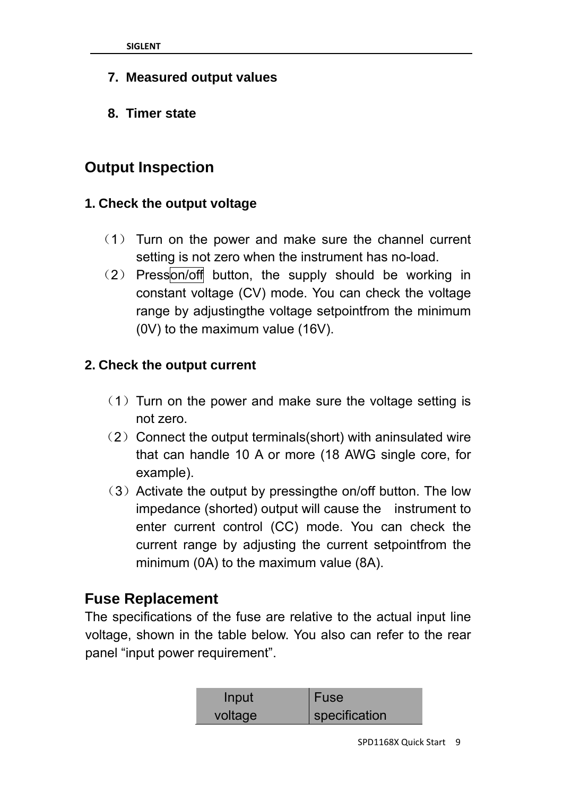- **7. Measured output values**
- **8. Timer state**

### **Output Inspection**

#### **1. Check the output voltage**

- (1) Turn on the power and make sure the channel current setting is not zero when the instrument has no-load.
- (2) Presson/off button, the supply should be working in constant voltage (CV) mode. You can check the voltage range by adjustingthe voltage setpointfrom the minimum (0V) to the maximum value (16V).

#### **2. Check the output current**

- (1) Turn on the power and make sure the voltage setting is not zero.
- (2) Connect the output terminals(short) with aninsulated wire that can handle 10 A or more (18 AWG single core, for example).
- (3) Activate the output by pressingthe on/off button. The low impedance (shorted) output will cause the instrument to enter current control (CC) mode. You can check the current range by adjusting the current setpointfrom the minimum (0A) to the maximum value (8A).

#### **Fuse Replacement**

The specifications of the fuse are relative to the actual input line voltage, shown in the table below. You also can refer to the rear panel "input power requirement".

| Input   | l Fuse        |
|---------|---------------|
| voltage | specification |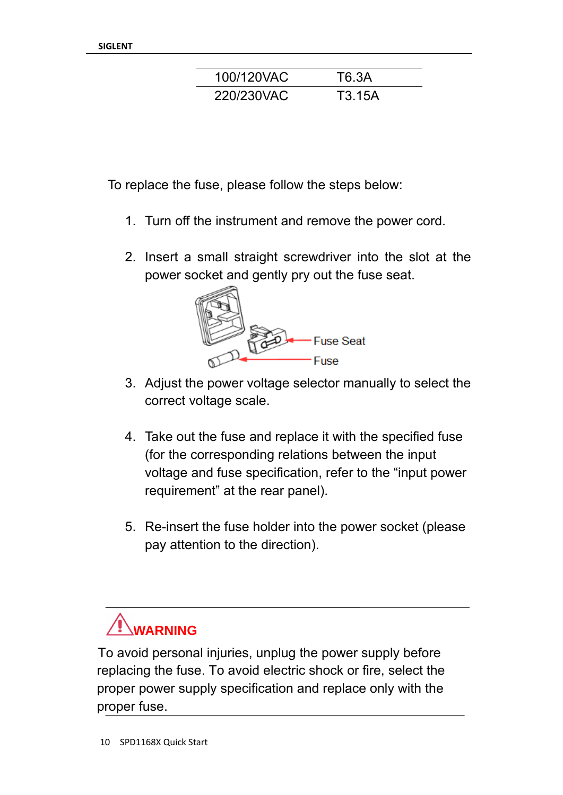| 100/120VAC | T6.3A  |
|------------|--------|
| 220/230VAC | T3.15A |

To replace the fuse, please follow the steps below:

- 1. Turn off the instrument and remove the power cord.
- 2. Insert a small straight screwdriver into the slot at the power socket and gently pry out the fuse seat.



- 3. Adjust the power voltage selector manually to select the correct voltage scale.
- 4. Take out the fuse and replace it with the specified fuse (for the corresponding relations between the input voltage and fuse specification, refer to the "input power requirement" at the rear panel).
- 5. Re-insert the fuse holder into the power socket (please pay attention to the direction).

# **WARNING**

To avoid personal injuries, unplug the power supply before replacing the fuse. To avoid electric shock or fire, select the proper power supply specification and replace only with the proper fuse.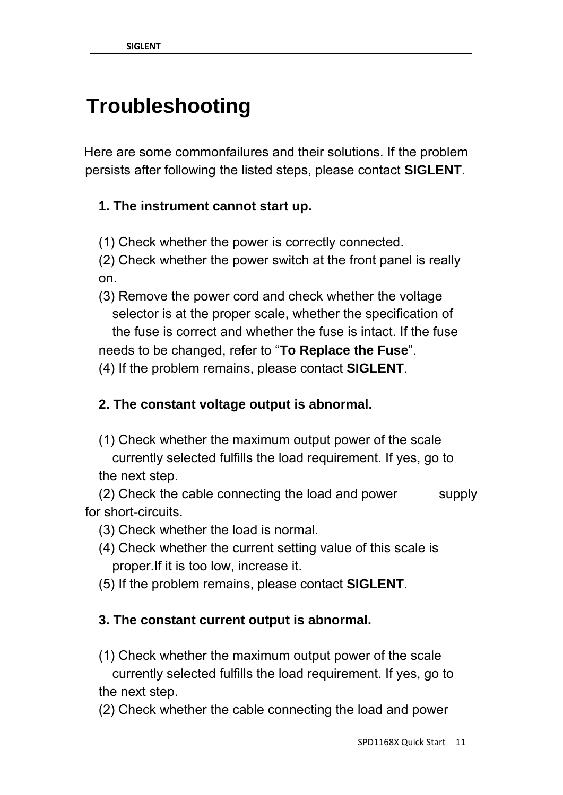## **Troubleshooting**

Here are some commonfailures and their solutions. If the problem persists after following the listed steps, please contact **SIGLENT**.

#### **1. The instrument cannot start up.**

(1) Check whether the power is correctly connected.

 (2) Check whether the power switch at the front panel is really on.

 (3) Remove the power cord and check whether the voltage selector is at the proper scale, whether the specification of the fuse is correct and whether the fuse is intact. If the fuse needs to be changed, refer to "**To Replace the Fuse**".

(4) If the problem remains, please contact **SIGLENT**.

#### **2. The constant voltage output is abnormal.**

 (1) Check whether the maximum output power of the scale currently selected fulfills the load requirement. If yes, go to the next step.

(2) Check the cable connecting the load and power supply for short-circuits.

- (3) Check whether the load is normal.
- (4) Check whether the current setting value of this scale is proper.If it is too low, increase it.
- (5) If the problem remains, please contact **SIGLENT**.

#### **3. The constant current output is abnormal.**

- (1) Check whether the maximum output power of the scale currently selected fulfills the load requirement. If yes, go to the next step.
- (2) Check whether the cable connecting the load and power